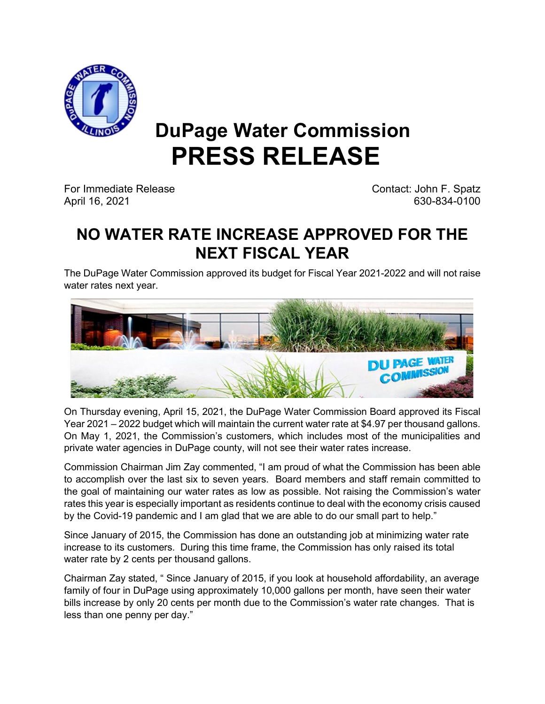

## **DuPage Water Commission PRESS RELEASE**

For Immediate Release Contact: John F. Spatz April 16, 2021 630-834-0100

## **NO WATER RATE INCREASE APPROVED FOR THE NEXT FISCAL YEAR**

The DuPage Water Commission approved its budget for Fiscal Year 2021-2022 and will not raise water rates next year.



On Thursday evening, April 15, 2021, the DuPage Water Commission Board approved its Fiscal Year 2021 – 2022 budget which will maintain the current water rate at \$4.97 per thousand gallons. On May 1, 2021, the Commission's customers, which includes most of the municipalities and private water agencies in DuPage county, will not see their water rates increase.

Commission Chairman Jim Zay commented, "I am proud of what the Commission has been able to accomplish over the last six to seven years. Board members and staff remain committed to the goal of maintaining our water rates as low as possible. Not raising the Commission's water rates this year is especially important as residents continue to deal with the economy crisis caused by the Covid-19 pandemic and I am glad that we are able to do our small part to help."

Since January of 2015, the Commission has done an outstanding job at minimizing water rate increase to its customers. During this time frame, the Commission has only raised its total water rate by 2 cents per thousand gallons.

Chairman Zay stated, " Since January of 2015, if you look at household affordability, an average family of four in DuPage using approximately 10,000 gallons per month, have seen their water bills increase by only 20 cents per month due to the Commission's water rate changes. That is less than one penny per day."